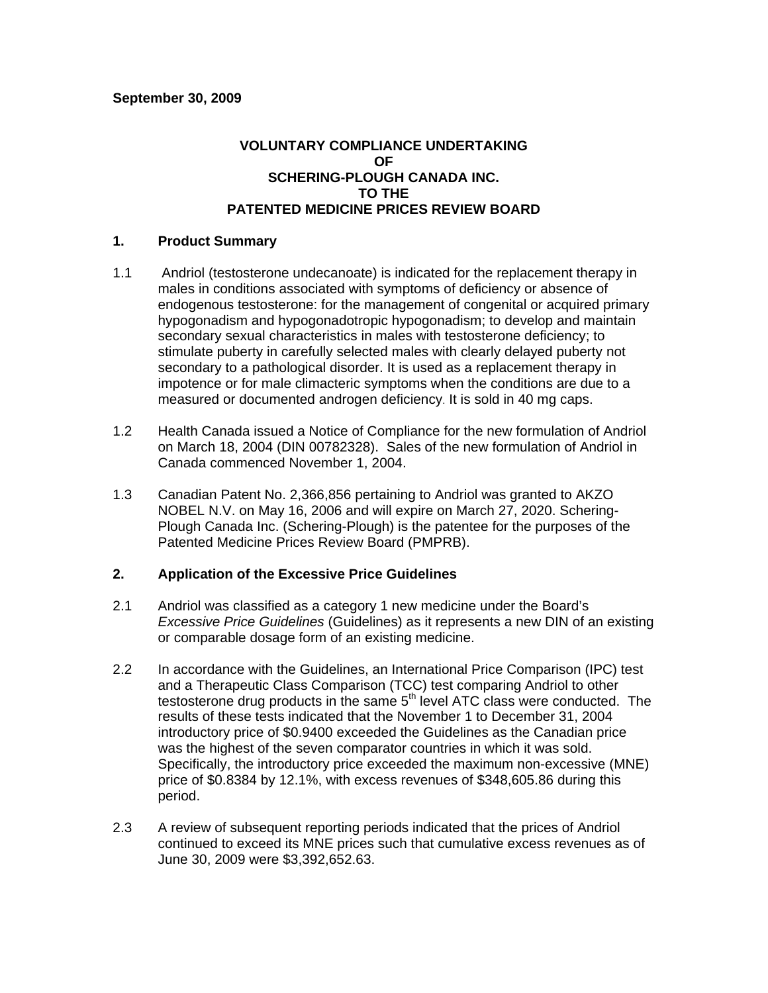## **VOLUNTARY COMPLIANCE UNDERTAKING OF SCHERING-PLOUGH CANADA INC. TO THE PATENTED MEDICINE PRICES REVIEW BOARD**

### **1. Product Summary**

- 1.1 Andriol (testosterone undecanoate) is indicated for the replacement therapy in males in conditions associated with symptoms of deficiency or absence of endogenous testosterone: for the management of congenital or acquired primary hypogonadism and hypogonadotropic hypogonadism; to develop and maintain secondary sexual characteristics in males with testosterone deficiency; to stimulate puberty in carefully selected males with clearly delayed puberty not secondary to a pathological disorder. It is used as a replacement therapy in impotence or for male climacteric symptoms when the conditions are due to a measured or documented androgen deficiency. It is sold in 40 mg caps.
- 1.2 Health Canada issued a Notice of Compliance for the new formulation of Andriol on March 18, 2004 (DIN 00782328). Sales of the new formulation of Andriol in Canada commenced November 1, 2004.
- 1.3 Canadian Patent No. 2,366,856 pertaining to Andriol was granted to AKZO NOBEL N.V. on May 16, 2006 and will expire on March 27, 2020. Schering-Plough Canada Inc. (Schering-Plough) is the patentee for the purposes of the Patented Medicine Prices Review Board (PMPRB).

#### **2. Application of the Excessive Price Guidelines**

- 2.1 Andriol was classified as a category 1 new medicine under the Board's *Excessive Price Guidelines* (Guidelines) as it represents a new DIN of an existing or comparable dosage form of an existing medicine.
- 2.2 In accordance with the Guidelines, an International Price Comparison (IPC) test and a Therapeutic Class Comparison (TCC) test comparing Andriol to other testosterone drug products in the same  $5<sup>th</sup>$  level ATC class were conducted. The results of these tests indicated that the November 1 to December 31, 2004 introductory price of \$0.9400 exceeded the Guidelines as the Canadian price was the highest of the seven comparator countries in which it was sold. Specifically, the introductory price exceeded the maximum non-excessive (MNE) price of \$0.8384 by 12.1%, with excess revenues of \$348,605.86 during this period.
- 2.3 A review of subsequent reporting periods indicated that the prices of Andriol continued to exceed its MNE prices such that cumulative excess revenues as of June 30, 2009 were \$3,392,652.63.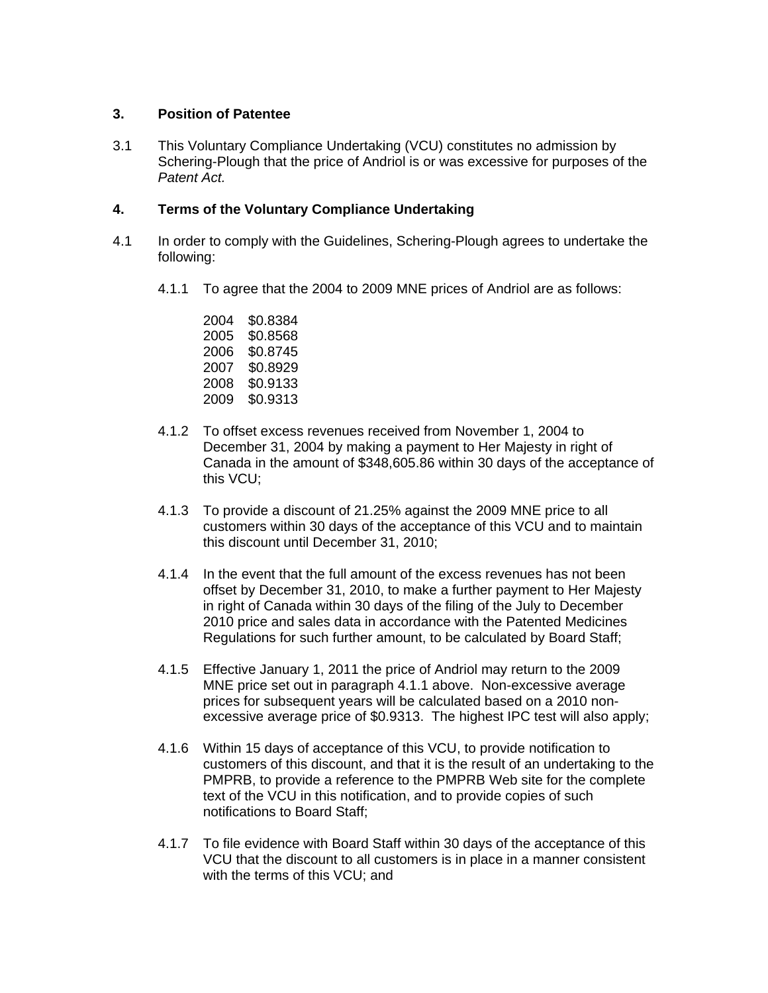## **3. Position of Patentee**

3.1 This Voluntary Compliance Undertaking (VCU) constitutes no admission by Schering-Plough that the price of Andriol is or was excessive for purposes of the *Patent Act.* 

# **4. Terms of the Voluntary Compliance Undertaking**

- 4.1 In order to comply with the Guidelines, Schering-Plough agrees to undertake the following:
	- 4.1.1 To agree that the 2004 to 2009 MNE prices of Andriol are as follows:

2004 \$0.8384 2005 \$0.8568 2006 \$0.8745 2007 \$0.8929 2008 \$0.9133 2009 \$0.9313

- 4.1.2 To offset excess revenues received from November 1, 2004 to December 31, 2004 by making a payment to Her Majesty in right of Canada in the amount of \$348,605.86 within 30 days of the acceptance of this VCU;
- 4.1.3 To provide a discount of 21.25% against the 2009 MNE price to all customers within 30 days of the acceptance of this VCU and to maintain this discount until December 31, 2010;
- 4.1.4 In the event that the full amount of the excess revenues has not been offset by December 31, 2010, to make a further payment to Her Majesty in right of Canada within 30 days of the filing of the July to December 2010 price and sales data in accordance with the Patented Medicines Regulations for such further amount, to be calculated by Board Staff;
- 4.1.5 Effective January 1, 2011 the price of Andriol may return to the 2009 MNE price set out in paragraph 4.1.1 above. Non-excessive average prices for subsequent years will be calculated based on a 2010 nonexcessive average price of \$0.9313. The highest IPC test will also apply;
- 4.1.6 Within 15 days of acceptance of this VCU, to provide notification to customers of this discount, and that it is the result of an undertaking to the PMPRB, to provide a reference to the PMPRB Web site for the complete text of the VCU in this notification, and to provide copies of such notifications to Board Staff;
- 4.1.7 To file evidence with Board Staff within 30 days of the acceptance of this VCU that the discount to all customers is in place in a manner consistent with the terms of this VCU; and